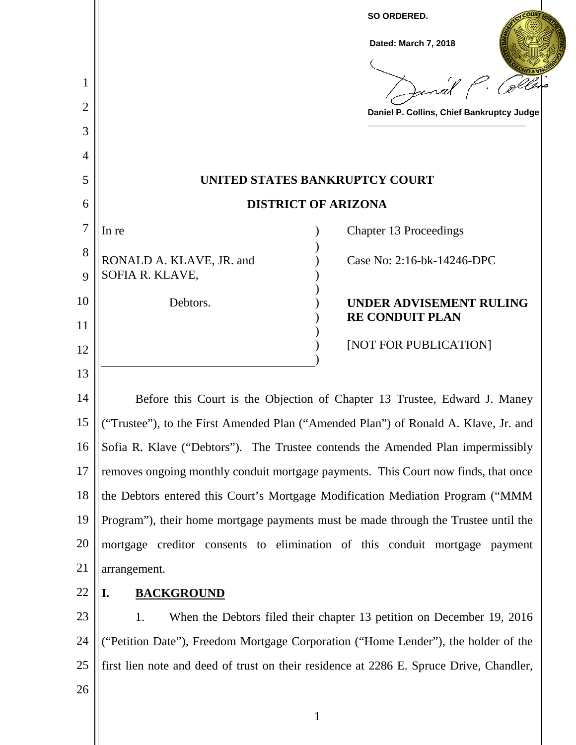| 1<br>2<br>3<br>4 | SO ORDERED.<br>Dated: March 7, 2018<br>Janal P. Cole<br>Daniel P. Collins, Chief Bankruptcy Judge |
|------------------|---------------------------------------------------------------------------------------------------|
| 5                | UNITED STATES BANKRUPTCY COURT                                                                    |
| 6                | <b>DISTRICT OF ARIZONA</b>                                                                        |
| 7                | <b>Chapter 13 Proceedings</b><br>In re                                                            |
| 8<br>9           | RONALD A. KLAVE, JR. and<br>Case No: 2:16-bk-14246-DPC<br>SOFIA R. KLAVE,                         |
| 10               | Debtors.<br>UNDER ADVISEMENT RULING                                                               |
| 11               | <b>RE CONDUIT PLAN</b>                                                                            |
| 12               | [NOT FOR PUBLICATION]                                                                             |
| 13               |                                                                                                   |
| 14               | Before this Court is the Objection of Chapter 13 Trustee, Edward J. Maney                         |
| 15               | ("Trustee"), to the First Amended Plan ("Amended Plan") of Ronald A. Klave, Jr. and               |
| 16               | Sofia R. Klave ("Debtors"). The Trustee contends the Amended Plan impermissibly                   |
| 17               | removes ongoing monthly conduit mortgage payments. This Court now finds, that once                |
| 18               | the Debtors entered this Court's Mortgage Modification Mediation Program ("MMM                    |
| 19               | Program"), their home mortgage payments must be made through the Trustee until the                |
| 20               | mortgage creditor consents to elimination of this conduit mortgage payment                        |
| 21               | arrangement.                                                                                      |
| 22               | <b>BACKGROUND</b><br>I.                                                                           |
| 23               | When the Debtors filed their chapter 13 petition on December 19, 2016<br>1.                       |
| 24               | ("Petition Date"), Freedom Mortgage Corporation ("Home Lender"), the holder of the                |
| 25               | first lien note and deed of trust on their residence at 2286 E. Spruce Drive, Chandler,           |
| 26               |                                                                                                   |

1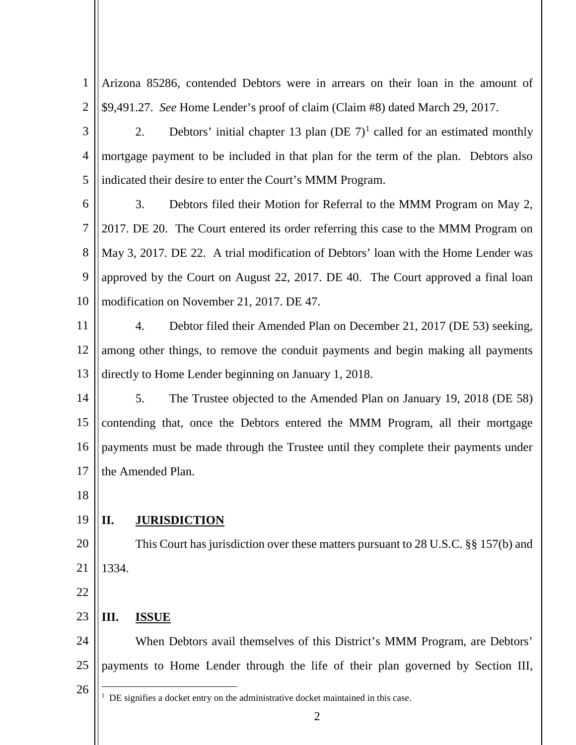1 2 Arizona 85286, contended Debtors were in arrears on their loan in the amount of \$9,491.27. *See* Home Lender's proof of claim (Claim #8) dated March 29, 2017.

3 4 5 2. Debtors' initial chapter 13 plan (DE  $7)^1$  called for an estimated monthly mortgage payment to be included in that plan for the term of the plan. Debtors also indicated their desire to enter the Court's MMM Program.

6 7 8 9 10 3. Debtors filed their Motion for Referral to the MMM Program on May 2, 2017. DE 20. The Court entered its order referring this case to the MMM Program on May 3, 2017. DE 22. A trial modification of Debtors' loan with the Home Lender was approved by the Court on August 22, 2017. DE 40. The Court approved a final loan modification on November 21, 2017. DE 47.

11 12 13 4. Debtor filed their Amended Plan on December 21, 2017 (DE 53) seeking, among other things, to remove the conduit payments and begin making all payments directly to Home Lender beginning on January 1, 2018.

14 15 16 17 5. The Trustee objected to the Amended Plan on January 19, 2018 (DE 58) contending that, once the Debtors entered the MMM Program, all their mortgage payments must be made through the Trustee until they complete their payments under the Amended Plan.

18

## 19 **II. JURISDICTION**

- 20 21 This Court has jurisdiction over these matters pursuant to 28 U.S.C. §§ 157(b) and 1334.
- 22

## 23 **III. ISSUE**

24 25 When Debtors avail themselves of this District's MMM Program, are Debtors' payments to Home Lender through the life of their plan governed by Section III,

26

 $\frac{1}{1}$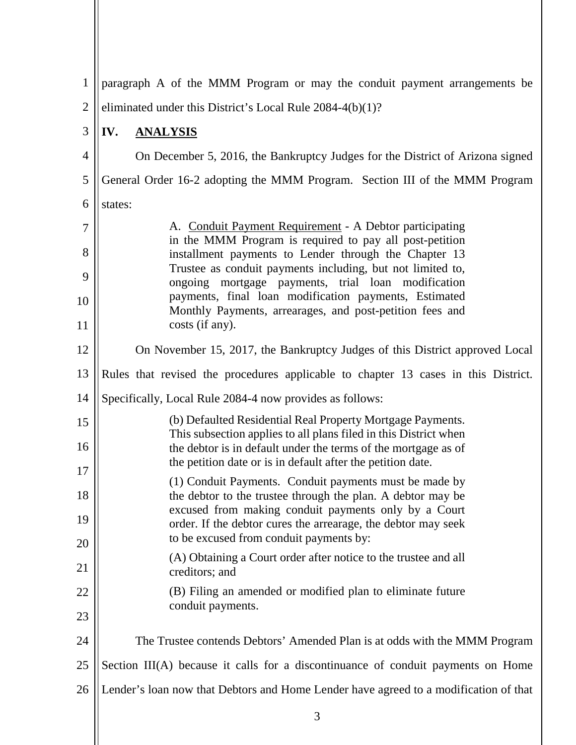| $\mathbf{1}$   | paragraph A of the MMM Program or may the conduit payment arrangements be                                                                                                                                                             |
|----------------|---------------------------------------------------------------------------------------------------------------------------------------------------------------------------------------------------------------------------------------|
| $\overline{2}$ | eliminated under this District's Local Rule 2084-4(b)(1)?                                                                                                                                                                             |
| 3              | IV.<br><b>ANALYSIS</b>                                                                                                                                                                                                                |
| $\overline{4}$ | On December 5, 2016, the Bankruptcy Judges for the District of Arizona signed                                                                                                                                                         |
| 5              | General Order 16-2 adopting the MMM Program. Section III of the MMM Program                                                                                                                                                           |
| 6              | states:                                                                                                                                                                                                                               |
| $\overline{7}$ | A. Conduit Payment Requirement - A Debtor participating                                                                                                                                                                               |
| 8              | in the MMM Program is required to pay all post-petition<br>installment payments to Lender through the Chapter 13                                                                                                                      |
| 9              | Trustee as conduit payments including, but not limited to,<br>ongoing mortgage payments, trial loan modification<br>payments, final loan modification payments, Estimated<br>Monthly Payments, arrearages, and post-petition fees and |
| 10             |                                                                                                                                                                                                                                       |
| 11             | costs (if any).                                                                                                                                                                                                                       |
| 12             | On November 15, 2017, the Bankruptcy Judges of this District approved Local                                                                                                                                                           |
| 13             | Rules that revised the procedures applicable to chapter 13 cases in this District.                                                                                                                                                    |
| 14             | Specifically, Local Rule 2084-4 now provides as follows:                                                                                                                                                                              |
| 15             | (b) Defaulted Residential Real Property Mortgage Payments.<br>This subsection applies to all plans filed in this District when                                                                                                        |
| 16             | the debtor is in default under the terms of the mortgage as of<br>the petition date or is in default after the petition date.                                                                                                         |
| 17             | (1) Conduit Payments. Conduit payments must be made by                                                                                                                                                                                |
| 18             | the debtor to the trustee through the plan. A debtor may be<br>excused from making conduit payments only by a Court                                                                                                                   |
| 19             | order. If the debtor cures the arrearage, the debtor may seek<br>to be excused from conduit payments by:                                                                                                                              |
| 20<br>21       | (A) Obtaining a Court order after notice to the trustee and all<br>creditors; and                                                                                                                                                     |
| 22             | (B) Filing an amended or modified plan to eliminate future                                                                                                                                                                            |
| 23             | conduit payments.                                                                                                                                                                                                                     |
| 24             | The Trustee contends Debtors' Amended Plan is at odds with the MMM Program                                                                                                                                                            |
| 25             | Section III(A) because it calls for a discontinuance of conduit payments on Home                                                                                                                                                      |
| 26             | Lender's loan now that Debtors and Home Lender have agreed to a modification of that                                                                                                                                                  |
|                |                                                                                                                                                                                                                                       |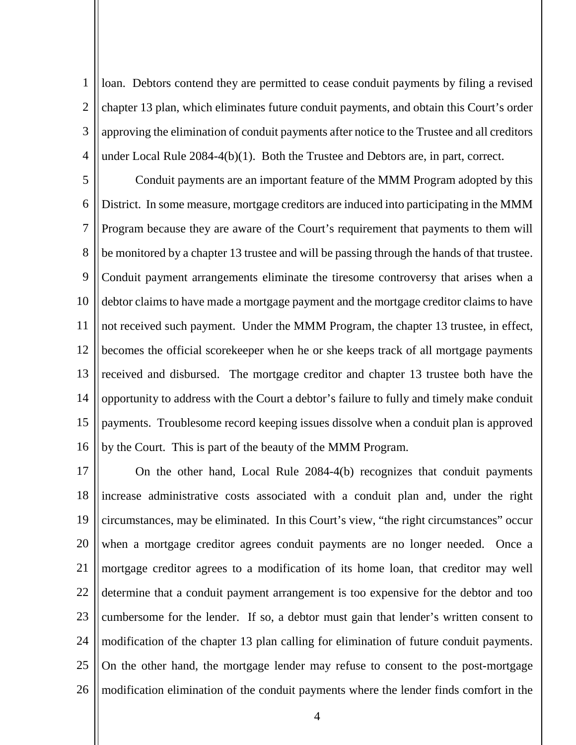1  $\mathcal{D}_{\mathcal{L}}$ 3 4 loan. Debtors contend they are permitted to cease conduit payments by filing a revised chapter 13 plan, which eliminates future conduit payments, and obtain this Court's order approving the elimination of conduit payments after notice to the Trustee and all creditors under Local Rule 2084-4(b)(1). Both the Trustee and Debtors are, in part, correct.

5 6 7 8 9 10 11 12 13 14 15 16 Conduit payments are an important feature of the MMM Program adopted by this District. In some measure, mortgage creditors are induced into participating in the MMM Program because they are aware of the Court's requirement that payments to them will be monitored by a chapter 13 trustee and will be passing through the hands of that trustee. Conduit payment arrangements eliminate the tiresome controversy that arises when a debtor claims to have made a mortgage payment and the mortgage creditor claims to have not received such payment. Under the MMM Program, the chapter 13 trustee, in effect, becomes the official scorekeeper when he or she keeps track of all mortgage payments received and disbursed. The mortgage creditor and chapter 13 trustee both have the opportunity to address with the Court a debtor's failure to fully and timely make conduit payments. Troublesome record keeping issues dissolve when a conduit plan is approved by the Court. This is part of the beauty of the MMM Program.

17 18 19 20 21 22 23 24 25 26 On the other hand, Local Rule 2084-4(b) recognizes that conduit payments increase administrative costs associated with a conduit plan and, under the right circumstances, may be eliminated. In this Court's view, "the right circumstances" occur when a mortgage creditor agrees conduit payments are no longer needed. Once a mortgage creditor agrees to a modification of its home loan, that creditor may well determine that a conduit payment arrangement is too expensive for the debtor and too cumbersome for the lender. If so, a debtor must gain that lender's written consent to modification of the chapter 13 plan calling for elimination of future conduit payments. On the other hand, the mortgage lender may refuse to consent to the post-mortgage modification elimination of the conduit payments where the lender finds comfort in the